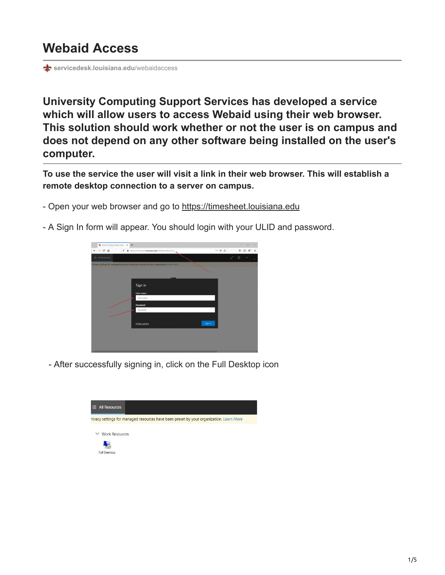## **Webaid Access**

**st** [servicedesk.louisiana.edu](https://servicedesk.louisiana.edu/webaidaccess)/webaidaccess

**University Computing Support Services has developed a service which will allow users to access Webaid using their web browser. This solution should work whether or not the user is on campus and does not depend on any other software being installed on the user's computer.**

**To use the service the user will visit a link in their web browser. This will establish a remote desktop connection to a server on campus.**

- Open your web browser and go to [https://timesheet.louisiana.edu](https://timesheet.louisiana.edu/)
- A Sign In form will appear. You should login with your ULID and password.



- After successfully signing in, click on the Full Desktop icon

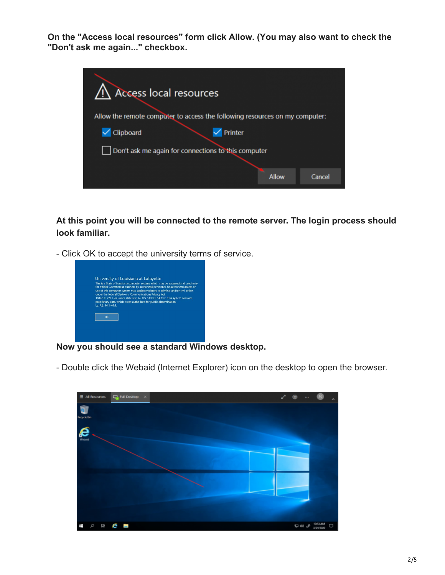**On the "Access local resources" form click Allow. (You may also want to check the "Don't ask me again..." checkbox.**

| Access local resources                                                      |
|-----------------------------------------------------------------------------|
|                                                                             |
| Allow the remote computer to access the following resources on my computer: |
| Printer<br>Clipboard                                                        |
| Don't ask me again for connections to this computer                         |
|                                                                             |
| Allow<br>Cancel                                                             |
|                                                                             |

**At this point you will be connected to the remote server. The login process should look familiar.**

- Click OK to accept the university terms of service.



**Now you should see a standard Windows desktop.**

- Double click the Webaid (Internet Explorer) icon on the desktop to open the browser.

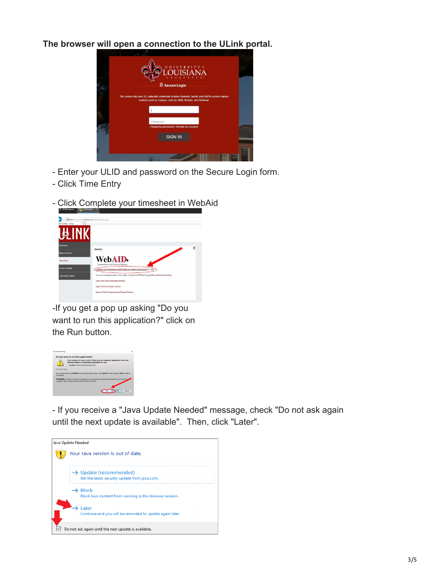**The browser will open a connection to the ULink portal.**



- Enter your ULID and password on the Secure Login form.
- Click Time Entry
- Click Complete your timesheet in WebAid



-If you get a pop up asking "Do you want to run this application?" click on the Run button.



- If you receive a "Java Update Needed" message, check "Do not ask again until the next update is available". Then, click "Later".